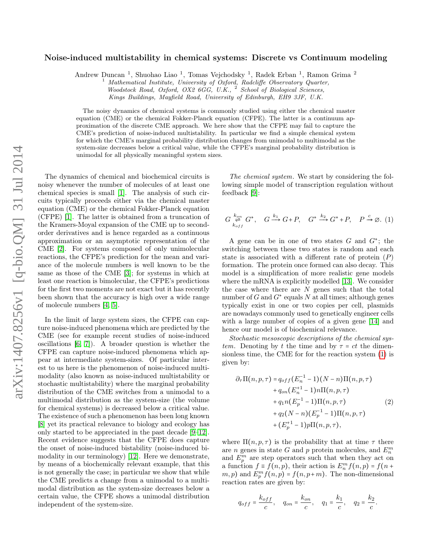## Noise-induced multistability in chemical systems: Discrete vs Continuum modeling

Andrew Duncan<sup>1</sup>, Shuohao Liao<sup>1</sup>, Tomas Vejchodsky<sup>1</sup>, Radek Erban<sup>1</sup>, Ramon Grima<sup>2</sup>

<sup>1</sup> Mathematical Institute, University of Oxford, Radcliffe Observatory Quarter,

Woodstock Road, Oxford, OX2 6GG, U.K., <sup>2</sup> School of Biological Sciences, Kings Buildings, Mayfield Road, University of Edinburgh, EH9 3JF, U.K.

The noisy dynamics of chemical systems is commonly studied using either the chemical master equation (CME) or the chemical Fokker-Planck equation (CFPE). The latter is a continuum approximation of the discrete CME approach. We here show that the CFPE may fail to capture the CME's prediction of noise-induced multistability. In particular we find a simple chemical system for which the CME's marginal probability distribution changes from unimodal to multimodal as the system-size decreases below a critical value, while the CFPE's marginal probability distribution is unimodal for all physically meaningful system sizes.

The dynamics of chemical and biochemical circuits is noisy whenever the number of molecules of at least one chemical species is small [\[1\]](#page-4-0). The analysis of such circuits typically proceeds either via the chemical master equation (CME) or the chemical Fokker-Planck equation (CFPE) [\[1\]](#page-4-0). The latter is obtained from a truncation of the Kramers-Moyal expansion of the CME up to secondorder derivatives and is hence regarded as a continuous approximation or an asymptotic representation of the CME [\[2\]](#page-4-1). For systems composed of only unimolecular reactions, the CFPE's prediction for the mean and variance of the molecule numbers is well known to be the same as those of the CME [\[3\]](#page-4-2); for systems in which at least one reaction is bimolecular, the CFPE's predictions for the first two moments are not exact but it has recently been shown that the accuracy is high over a wide range of molecule numbers [\[4,](#page-4-3) [5\]](#page-4-4).

In the limit of large system sizes, the CFPE can capture noise-induced phenomena which are predicted by the CME (see for example recent studies of noise-induced oscillations [\[6,](#page-4-5) [7\]](#page-4-6)). A broader question is whether the CFPE can capture noise-induced phenomena which appear at intermediate system-sizes. Of particular interest to us here is the phenomenon of noise-induced multimodality (also known as noise-induced multistability or stochastic multistability) where the marginal probability distribution of the CME switches from a unimodal to a multimodal distribution as the system-size (the volume for chemical systems) is decreased below a critical value. The existence of such a phenomenon has been long known [\[8\]](#page-4-7) yet its practical relevance to biology and ecology has only started to be appreciated in the past decade [\[9–](#page-4-8)[12\]](#page-4-9). Recent evidence suggests that the CFPE does capture the onset of noise-induced bistability (noise-induced bimodality in our terminology) [\[12\]](#page-4-9). Here we demonstrate, by means of a biochemically relevant example, that this is not generally the case; in particular we show that while the CME predicts a change from a unimodal to a multimodal distribution as the system-size decreases below a certain value, the CFPE shows a unimodal distribution independent of the system-size.

The chemical system. We start by considering the following simple model of transcription regulation without feedback [\[9\]](#page-4-8):

<span id="page-0-0"></span>
$$
G \underset{k_{off}}{\overset{k_{on}}{\rightleftharpoons}} G^*, \quad G \xrightarrow{k_1} G + P, \quad G^* \xrightarrow{k_2} G^* + P, \quad P \xrightarrow{c} \emptyset. \tag{1}
$$

A gene can be in one of two states  $G$  and  $G^*$ ; the switching between these two states is random and each state is associated with a different rate of protein  $(P)$ formation. The protein once formed can also decay. This model is a simplification of more realistic gene models where the mRNA is explicitly modelled [\[13\]](#page-4-10). We consider the case where there are  $N$  genes such that the total number of  $G$  and  $G^*$  equals  $N$  at all times; although genes typically exist in one or two copies per cell, plasmids are nowadays commonly used to genetically engineer cells with a large number of copies of a given gene [\[14\]](#page-4-11) and hence our model is of biochemical relevance.

Stochastic mesoscopic descriptions of the chemical system. Denoting by t the time and by  $\tau = ct$  the dimensionless time, the CME for for the reaction system [\(1\)](#page-0-0) is given by:

<span id="page-0-1"></span>
$$
\partial_{\tau} \Pi(n, p, \tau) = q_{off} (E_{n}^{-1} - 1)(N - n) \Pi(n, p, \tau) \n+ q_{on} (E_{n}^{+1} - 1) n \Pi(n, p, \tau) \n+ q_{1} n (E_{p}^{-1} - 1) \Pi(n, p, \tau) \n+ q_{2} (N - n) (E_{p}^{-1} - 1) \Pi(n, p, \tau) \n+ (E_{p}^{+1} - 1) p \Pi(n, p, \tau),
$$
\n(2)

where  $\Pi(n, p, \tau)$  is the probability that at time  $\tau$  there are n genes in state G and p protein molecules, and  $E_n^m$ and  $E_p^m$  are step operators such that when they act on a function  $f \equiv f(n, p)$ , their action is  $E_n^m f(n, p) = f(n + p)$  $(m, p)$  and  $E_p^m f(n, p) = f(n, p+m)$ . The non-dimensional reaction rates are given by:

<span id="page-0-2"></span>
$$
q_{off} = \frac{k_{off}}{c}
$$
,  $q_{on} = \frac{k_{on}}{c}$ ,  $q_1 = \frac{k_1}{c}$ ,  $q_2 = \frac{k_2}{c}$ .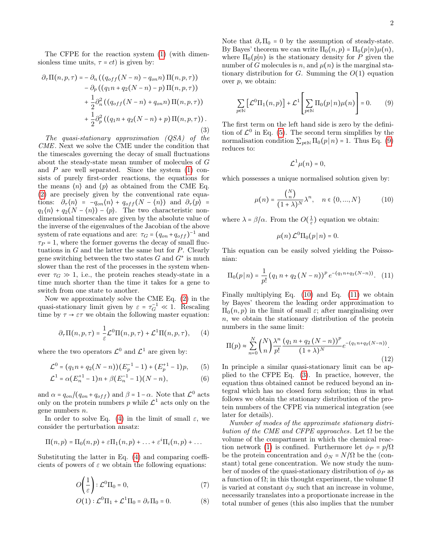The CFPE for the reaction system [\(1\)](#page-0-0) (with dimensionless time units,  $\tau = ct$ ) is given by:

$$
\partial_{\tau} \Pi(n, p, \tau) = -\partial_n \left( \left( q_{off}(N-n) - q_{on}n \right) \Pi(n, p, \tau) \right) - \partial_p \left( \left( q_1 n + q_2 (N-n) - p \right) \Pi(n, p, \tau) \right) + \frac{1}{2} \partial_n^2 \left( \left( q_{off}(N-n) + q_{on}n \right) \Pi(n, p, \tau) \right) + \frac{1}{2} \partial_p^2 \left( \left( q_1 n + q_2 (N-n) + p \right) \Pi(n, p, \tau) \right).
$$
\n(3)

The quasi-stationary approximation (QSA) of the CME. Next we solve the CME under the condition that the timescales governing the decay of small fluctuations about the steady-state mean number of molecules of G and  $P$  are well separated. Since the system  $(1)$  consists of purely first-order reactions, the equations for the means  $\langle n \rangle$  and  $\langle p \rangle$  as obtained from the CME Eq. [\(2\)](#page-0-1) are precisely given by the conventional rate equations:  $\partial_{\tau}\langle n\rangle = -q_{on}\langle n\rangle + q_{off}(N - \langle n\rangle)$  and  $\partial_{\tau}\langle p\rangle =$  $q_1(n) + q_2(N - \langle n \rangle) - \langle p \rangle$ . The two characteristic nondimensional timescales are given by the absolute value of the inverse of the eigenvalues of the Jacobian of the above system of rate equations and are:  $\tau_G = (q_{on} + q_{off})^{-1}$  and  $\tau_P = 1$ , where the former governs the decay of small fluctuations in  $G$  and the latter the same but for  $P$ . Clearly gene switching between the two states  $G$  and  $G^*$  is much slower than the rest of the processes in the system whenever  $\tau_G \gg 1$ , i.e., the protein reaches steady-state in a time much shorter than the time it takes for a gene to switch from one state to another.

Now we approximately solve the CME Eq. [\(2\)](#page-0-1) in the quasi-stationary limit given by  $\varepsilon = \tau_G^{-1} \ll 1$ . Rescaling time by  $\tau \to \varepsilon \tau$  we obtain the following master equation:

<span id="page-1-0"></span>
$$
\partial_{\tau} \Pi(n, p, \tau) = \frac{1}{\varepsilon} \mathcal{L}^{0} \Pi(n, p, \tau) + \mathcal{L}^{1} \Pi(n, p, \tau), \quad (4)
$$

where the two operators  $\mathcal{L}^0$  and  $\mathcal{L}^1$  are given by:

$$
\mathcal{L}^0 = (q_1 n + q_2 (N - n)) (E_p^{-1} - 1) + (E_p^{+1} - 1)p, \qquad (5)
$$

$$
\mathcal{L}^1 = \alpha (E_n^{+1} - 1) n + \beta (E_n^{-1} - 1) (N - n), \tag{6}
$$

and  $\alpha = q_{on} / (q_{on} + q_{off})$  and  $\beta = 1 - \alpha$ . Note that  $\mathcal{L}^0$  acts only on the protein numbers p while  $\mathcal{L}^1$  acts only on the gene numbers n.

In order to solve Eq. [\(4\)](#page-1-0) in the limit of small  $\varepsilon$ , we consider the perturbation ansatz:

$$
\Pi(n,p) = \Pi_0(n,p) + \varepsilon \Pi_1(n,p) + \ldots + \varepsilon^i \Pi_i(n,p) + \ldots
$$

Substituting the latter in Eq. [\(4\)](#page-1-0) and comparing coefficients of powers of  $\varepsilon$  we obtain the following equations:

$$
O\left(\frac{1}{\varepsilon}\right): \mathcal{L}^0\Pi_0 = 0,\tag{7}
$$

$$
O(1): \mathcal{L}^0 \Pi_1 + \mathcal{L}^1 \Pi_0 = \partial_\tau \Pi_0 = 0. \tag{8}
$$

Note that  $\partial_{\tau} \Pi_0 = 0$  by the assumption of steady-state. By Bayes' theorem we can write  $\Pi_0(n,p) = \Pi_0(p|n)\mu(n)$ , where  $\Pi_0(p|n)$  is the stationary density for P given the number of G molecules is n, and  $\mu(n)$  is the marginal stationary distribution for G. Summing the  $O(1)$  equation over  $p$ , we obtain:

<span id="page-1-2"></span>
$$
\sum_{p \in \mathbb{N}} \left[ \mathcal{L}^0 \Pi_1(n, p) \right] + \mathcal{L}^1 \left[ \sum_{p \in \mathbb{N}} \Pi_0(p \mid n) \mu(n) \right] = 0. \tag{9}
$$

The first term on the left hand side is zero by the definition of  $\mathcal{L}^0$  in Eq. [\(5\)](#page-1-1). The second term simplifies by the normalisation condition  $\sum_{p \in \mathbb{N}} \Pi_0(p | n) = 1$ . Thus Eq. [\(9\)](#page-1-2) reduces to:

p∈**N**

<span id="page-1-3"></span>
$$
\mathcal{L}^1\mu(n)=0,
$$

which possesses a unique normalised solution given by:

$$
\mu(n) = \frac{\binom{N}{n}}{(1+\lambda)^N} \lambda^n, \quad n \in \{0, ..., N\}
$$
 (10)

where  $\lambda = \beta/\alpha$ . From the  $O(\frac{1}{\varepsilon})$  equation we obtain:

<span id="page-1-4"></span>
$$
\mu(n)\mathcal{L}^0\Pi_0(p\,|\,n)=0.
$$

This equation can be easily solved yielding the Poissonian:

$$
\Pi_0(p \mid n) = \frac{1}{p!} \left( q_1 \, n + q_2 \, (N - n) \right)^p e^{-(q_1 n + q_2 (N - n))}. \tag{11}
$$

Finally multiplying Eq. [\(10\)](#page-1-3) and Eq. [\(11\)](#page-1-4) we obtain by Bayes' theorem the leading order approximation to  $\Pi_0(n, p)$  in the limit of small  $\varepsilon$ ; after marginalising over n, we obtain the stationary distribution of the protein numbers in the same limit:

<span id="page-1-5"></span>
$$
\Pi(p) \approx \sum_{n=0}^{N} {N \choose n} \frac{\lambda^n}{p!} \frac{(q_1 n + q_2 (N - n))^p}{(1 + \lambda)^N} e^{-(q_1 n + q_2 (N - n))}.
$$
\n(12)

<span id="page-1-1"></span>In principle a similar quasi-stationary limit can be applied to the CFPE Eq. [\(3\)](#page-0-2). In practice, however, the equation thus obtained cannot be reduced beyond an integral which has no closed form solution; thus in what follows we obtain the stationary distribution of the protein numbers of the CFPE via numerical integration (see later for details).

Number of modes of the approximate stationary distribution of the CME and CFPE approaches. Let  $\Omega$  be the volume of the compartment in which the chemical reac-tion network [\(1\)](#page-0-0) is confined. Furthermore let  $\phi_P = p/\Omega$ be the protein concentration and  $\phi_N = N/\Omega$  be the (constant) total gene concentration. We now study the number of modes of the quasi-stationary distribution of  $\phi_P$  as a function of  $\Omega$ ; in this thought experiment, the volume  $\Omega$ is varied at constant  $\phi_N$  such that an increase in volume, necessarily translates into a proportionate increase in the total number of genes (this also implies that the number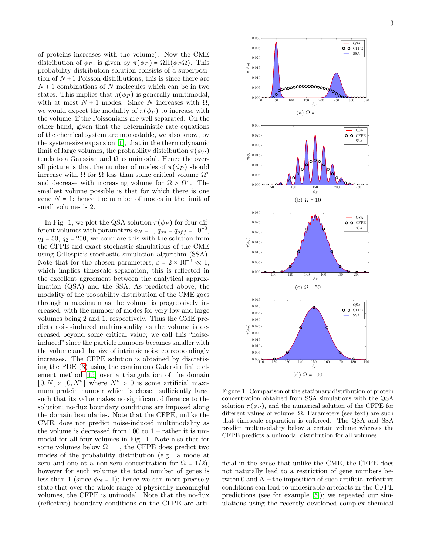of proteins increases with the volume). Now the CME distribution of  $\phi_P$ , is given by  $\pi(\phi_P) = \Omega \Pi(\phi_P \Omega)$ . This probability distribution solution consists of a superposition of  $N+1$  Poisson distributions; this is since there are  $N+1$  combinations of N molecules which can be in two states. This implies that  $\pi(\phi_P)$  is generally multimodal, with at most  $N + 1$  modes. Since N increases with  $\Omega$ , we would expect the modality of  $\pi(\phi_P)$  to increase with the volume, if the Poissonians are well separated. On the other hand, given that the deterministic rate equations of the chemical system are monostable, we also know, by the system-size expansion [\[1\]](#page-4-0), that in the thermodynamic limit of large volumes, the probability distribution  $\pi(\phi_P)$ tends to a Gaussian and thus unimodal. Hence the overall picture is that the number of modes of  $\pi(\phi_P)$  should increase with  $\Omega$  for  $\Omega$  less than some critical volume  $\Omega^*$ and decrease with increasing volume for  $\Omega > \Omega^*$ . The smallest volume possible is that for which there is one gene  $N = 1$ ; hence the number of modes in the limit of small volumes is 2.

In Fig. 1, we plot the QSA solution  $\pi(\phi_P)$  for four different volumes with parameters  $\phi_N = 1$ ,  $q_{on} = q_{off} = 10^{-3}$ ,  $q_1 = 50$ ,  $q_2 = 250$ ; we compare this with the solution from the CFPE and exact stochastic simulations of the CME using Gillespie's stochastic simulation algorithm (SSA). Note that for the chosen parameters,  $\varepsilon = 2 \times 10^{-3} \ll 1$ , which implies timescale separation; this is reflected in the excellent agreement between the analytical approximation (QSA) and the SSA. As predicted above, the modality of the probability distribution of the CME goes through a maximum as the volume is progressively increased, with the number of modes for very low and large volumes being 2 and 1, respectively. Thus the CME predicts noise-induced multimodality as the volume is decreased beyond some critical value; we call this "noiseinduced" since the particle numbers becomes smaller with the volume and the size of intrinsic noise correspondingly increases. The CFPE solution is obtained by discretising the PDE [\(3\)](#page-0-2) using the continuous Galerkin finite element method [\[15\]](#page-4-12) over a triangulation of the domain  $[0, N] \times [0, N^*]$  where  $N^* > 0$  is some artificial maximum protein number which is chosen sufficiently large such that its value makes no significant difference to the solution; no-flux boundary conditions are imposed along the domain boundaries. Note that the CFPE, unlike the CME, does not predict noise-induced multimodality as the volume is decreased from  $100$  to  $1$  – rather it is unimodal for all four volumes in Fig. 1. Note also that for some volumes below  $\Omega = 1$ , the CFPE does predict two modes of the probability distribution (e.g. a mode at zero and one at a non-zero concentration for  $\Omega = 1/2$ , however for such volumes the total number of genes is less than 1 (since  $\phi_N = 1$ ); hence we can more precisely state that over the whole range of physically meaningful volumes, the CFPE is unimodal. Note that the no-flux (reflective) boundary conditions on the CFPE are arti-



Figure 1: Comparison of the stationary distribution of protein concentration obtained from SSA simulations with the QSA solution  $\pi(\phi_P)$ , and the numerical solution of the CFPE for different values of volume,  $\Omega$ . Parameters (see text) are such that timescale separation is enforced. The QSA and SSA predict multimodality below a certain volume whereas the CFPE predicts a unimodal distribution for all volumes.

ficial in the sense that unlike the CME, the CFPE does not naturally lead to a restriction of gene numbers between 0 and  $N$  – the imposition of such artificial reflective conditions can lead to undesirable artefacts in the CFPE predictions (see for example [\[5\]](#page-4-4)); we repeated our simulations using the recently developed complex chemical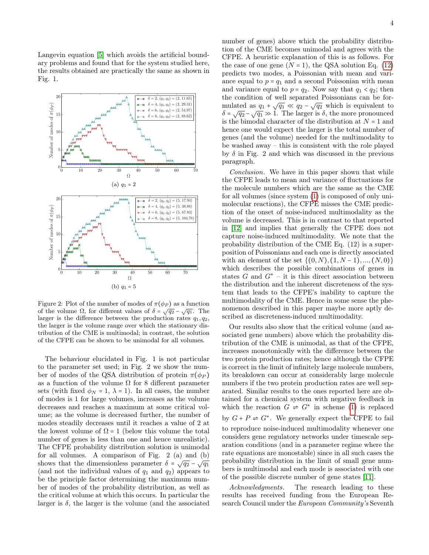Langevin equation [\[5\]](#page-4-4) which avoids the artificial boundary problems and found that for the system studied here, the results obtained are practically the same as shown in Fig. 1.



Figure 2: Plot of the number of modes of  $\pi(\phi_P)$  as a function of the volume Ω, for different values of  $\delta = \sqrt{q_2} - \sqrt{q_1}$ . The larger is the difference between the production rates  $q_1, q_2$ , the larger is the volume range over which the stationary distribution of the CME is multimodal; in contrast, the solution of the CFPE can be shown to be unimodal for all volumes.

The behaviour elucidated in Fig. 1 is not particular to the parameter set used; in Fig. 2 we show the number of modes of the QSA distribution of protein  $\pi(\phi_P)$ as a function of the volume  $\Omega$  for 8 different parameter sets (with fixed  $\phi_N = 1$ ,  $\lambda = 1$ ). In all cases, the number of modes is 1 for large volumes, increases as the volume decreases and reaches a maximum at some critical volume; as the volume is decreased further, the number of modes steadily decreases until it reaches a value of 2 at the lowest volume of  $\Omega = 1$  (below this volume the total number of genes is less than one and hence unrealistic). The CFPE probability distribution solution is unimodal for all volumes. A comparison of Fig. 2 (a) and (b) shows that the dimensionless parameter  $\delta = \sqrt{q_2} - \sqrt{q_1}$ (and not the individual values of  $q_1$  and  $q_2$ ) appears to be the principle factor determining the maximum number of modes of the probability distribution, as well as the critical volume at which this occurs. In particular the larger is  $\delta$ , the larger is the volume (and the associated number of genes) above which the probability distribution of the CME becomes unimodal and agrees with the CFPE. A heuristic explanation of this is as follows. For the case of one gene  $(N = 1)$ , the QSA solution Eq. [\(12\)](#page-1-5) predicts two modes, a Poissonian with mean and variance equal to  $p = q_1$  and a second Poissonian with mean and variance equal to  $p = q_2$ . Now say that  $q_1 < q_2$ ; then the condition of well separated Poissonians can be formulated as  $q_1 + \sqrt{q_1} \ll q_2 - \sqrt{q_2}$  which is equivalent to  $\delta = \sqrt{q_2} - \sqrt{q_1} \gg 1$ . The larger is  $\delta$ , the more pronounced is the bimodal character of the distribution at  $N = 1$  and hence one would expect the larger is the total number of genes (and the volume) needed for the multimodality to be washed away – this is consistent with the role played by  $\delta$  in Fig. 2 and which was discussed in the previous paragraph.

Conclusion. We have in this paper shown that while the CFPE leads to mean and variance of fluctuations for the molecule numbers which are the same as the CME for all volumes (since system [\(1\)](#page-0-0) is composed of only unimolecular reactions), the CFPE misses the CME prediction of the onset of noise-induced multimodality as the volume is decreased. This is in contrast to that reported in [\[12\]](#page-4-9) and implies that generally the CFPE does not capture noise-induced multimodality. We note that the probability distribution of the CME Eq. (12) is a superposition of Poissonians and each one is directly associated with an element of the set  $\{(0, N), (1, N - 1), ..., (N, 0)\}\$ which describes the possible combinations of genes in states  $G$  and  $G^*$  – it is this direct association between the distribution and the inherent discreteness of the system that leads to the CFPE's inability to capture the multimodality of the CME. Hence in some sense the phenomenon described in this paper maybe more aptly described as discreteness-induced multimodality.

Our results also show that the critical volume (and associated gene numbers) above which the probability distribution of the CME is unimodal, as that of the CFPE, increases monotonically with the difference between the two protein production rates; hence although the CFPE is correct in the limit of infinitely large molecule numbers, its breakdown can occur at considerably large molecule numbers if the two protein production rates are well separated. Similar results to the ones reported here are obtained for a chemical system with negative feedback in which the reaction  $G \Rightarrow G^*$  in scheme [\(1\)](#page-0-0) is replaced by  $G + P \rightleftharpoons G^*$ . We generally expect the CFPE to fail to reproduce noise-induced multimodality whenever one considers gene regulatory networks under timescale separation conditions (and in a parameter regime where the rate equations are monostable) since in all such cases the probability distribution in the limit of small gene numbers is multimodal and each mode is associated with one of the possible discrete number of gene states [\[11\]](#page-4-13).

Acknowledgments. The research leading to these results has received funding from the European Research Council under the European Community's Seventh